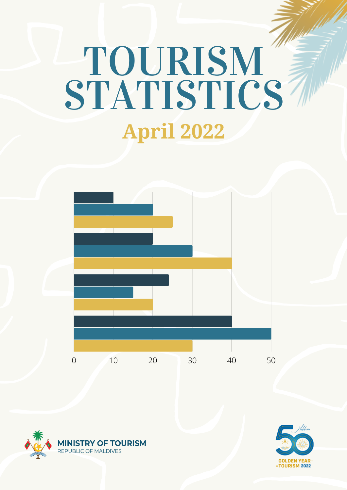# **Addition** TOURISM<br>STATISTICS **April 2022**





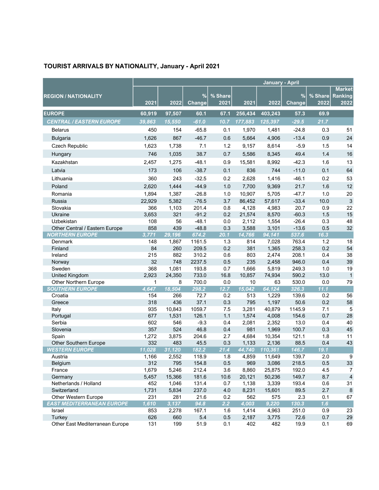# TOURIST ARRIVALS BY NATIONALITY, January - April 2021

|                                                |              |               |                            |                 |                 | January - April  |                |                 |                                  |
|------------------------------------------------|--------------|---------------|----------------------------|-----------------|-----------------|------------------|----------------|-----------------|----------------------------------|
| <b>REGION / NATIONALITY</b>                    | 2021         | 2022          | %<br>Change                | % Share<br>2021 | 2021            | 2022             | %<br>Change    | % Share<br>2022 | <b>Market</b><br>Ranking<br>2022 |
| <b>EUROPE</b>                                  | 60,919       | 97,507        | 60.1                       | 67.1            | 256,434         | 403,243          | 57.3           | 69.9            |                                  |
| <b>CENTRAL / EASTERN EUROPE</b>                | 39,863       | 15,550        | $-61.0$                    | 10.7            | 177,883         | 125,397          | $-29.5$        | 21.7            |                                  |
| <b>Belarus</b>                                 | 450          | 154           | $-65.8$                    | 0.1             | 1,970           | 1,481            | $-24.8$        | 0.3             | 51                               |
| <b>Bulgaria</b>                                | 1,626        | 867           | $-46.7$                    | 0.6             | 5,664           | 4,906            | $-13.4$        | 0.9             | 24                               |
| Czech Republic                                 | 1,623        | 1,738         | 7.1                        | 1.2             | 9,157           | 8,614            | $-5.9$         | 1.5             | 14                               |
|                                                |              |               |                            |                 |                 |                  | 49.4           |                 | 16                               |
| Hungary                                        | 746          | 1,035         | 38.7                       | 0.7             | 5,586           | 8,345            |                | 1.4             |                                  |
| Kazakhstan                                     | 2,457        | 1,275         | $-48.1$                    | 0.9             | 15,581          | 8,992            | $-42.3$        | 1.6             | 13                               |
| Latvia                                         | 173          | 106           | $-38.7$                    | 0.1             | 836             | 744              | $-11.0$        | 0.1             | 64                               |
| Lithuania                                      | 360          | 243           | $-32.5$                    | 0.2             | 2,628           | 1,416            | $-46.1$        | 0.2             | 53                               |
| Poland                                         | 2,620        | 1,444         | $-44.9$                    | 1.0             | 7,700           | 9,369            | 21.7           | 1.6             | 12                               |
| Romania                                        | 1,894        | 1,387         | $-26.8$                    | 1.0             | 10,907          | 5,705            | $-47.7$        | $1.0$           | $20\,$                           |
| Russia                                         | 22,929       | 5,382         | $-76.5$                    | 3.7             | 86,452          | 57,617           | $-33.4$        | 10.0            | $\mathbf{3}$                     |
| Slovakia                                       | 366          | 1,103         | 201.4                      | 0.8             | 4,128           | 4,983            | 20.7           | 0.9             | 22                               |
| Ukraine                                        | 3,653        | 321           | $-91.2$                    | 0.2             | 21,574          | 8,570            | $-60.3$        | 1.5             | 15                               |
| Uzbekistan                                     | 108          | 56            | $-48.1$                    | 0.0             | 2,112           | 1,554            | $-26.4$        | 0.3             | 48                               |
| Other Central / Eastern Europe                 | 858          | 439           | $-48.8$                    | 0.3             | 3,588           | 3,101            | $-13.6$        | 0.5             | 32                               |
| <b>NORTHERN EUROPE</b>                         | 3,771        | 29,196        | 674.2                      | 20.1            | 14,766          | 94,141           | 537.6          | 16.3            |                                  |
| Denmark<br>Finland                             | 148<br>84    | 1,867<br>260  | 1161.5<br>209.5            | 1.3<br>0.2      | 814<br>381      | 7,028<br>1,365   | 763.4<br>258.3 | 1.2<br>0.2      | 18<br>54                         |
| Ireland                                        | 215          | 882           | 310.2                      | 0.6             | 803             | 2,474            | 208.1          | 0.4             | 38                               |
| Norway                                         | 32           | 748           | 2237.5                     | 0.5             | 235             | 2,458            | 946.0          | 0.4             | 39                               |
| Sweden                                         | 368          | 1,081         | 193.8                      | 0.7             | 1,666           | 5,819            | 249.3          | 1.0             | 19                               |
| <b>United Kingdom</b>                          | 2,923        | 24,350        | 733.0                      | 16.8            | 10,857          | 74,934           | 590.2          | 13.0            | $\mathbf{1}$                     |
| Other Northern Europe                          | 1            | 8             | 700.0                      | 0.0             | 10              | 63               | 530.0          | 0.0             | 79                               |
| <b>SOUTHERN EUROPE</b>                         | 4,647        | 18,504        | 298.2                      | 12.7            | 15,042          | 64,124           | 326.3          | 11.1            |                                  |
| Croatia                                        | 154          | 266           | 72.7                       | 0.2             | 513             | 1,229            | 139.6          | 0.2             | 56                               |
| Greece                                         | 318          | 436           | 37.1                       | 0.3             | 795             | 1,197            | 50.6           | 0.2             | 58                               |
| Italy                                          | 935          | 10,843        | 1059.7                     | 7.5             | 3,281           | 40,879           | 1145.9         | 7.1             | 5                                |
| Portugal                                       | 677          | 1,531         | 126.1                      | 1.1             | 1,574           | 4,008            | 154.6          | 0.7             | 28                               |
| Serbia                                         | 602          | 546           | $-9.3$                     | 0.4             | 2,081           | 2,352            | 13.0           | 0.4             | 40                               |
| Slovenia                                       | 357          | 524           | 46.8                       | 0.4             | 981             | 1,969            | 100.7          | 0.3             | 45                               |
| Spain                                          | 1,272<br>332 | 3,875         | 204.6                      | 2.7             | 4,684           | 10,354           | 121.1<br>88.5  | 1.8             | 11<br>43                         |
| Other Southern Europe<br><b>WESTERN EUROPE</b> | 11,028       | 483<br>31,120 | 45.5<br>$\overline{182.2}$ | 0.3<br>21.4     | 1,133<br>44,740 | 2,136<br>110,361 | 146.7          | 0.4<br>19.1     |                                  |
| Austria                                        | 1,166        | 2,552         | 118.9                      | 1.8             |                 | 4,859 11,649     | 139.7          | 2.0             | $\boldsymbol{9}$                 |
| Belgium                                        | 312          | 795           | 154.8                      | 0.5             | 969             | 3,086            | 218.5          | 0.5             | 33                               |
| France                                         | 1,679        | 5,246         | 212.4                      | 3.6             | 8,860           | 25,875           | 192.0          | 4.5             | 7                                |
| Germany                                        | 5,457        | 15,366        | 181.6                      | 10.6            | 20,121          | 50,236           | 149.7          | 8.7             | $\overline{4}$                   |
| Netherlands / Holland                          | 452          | 1,046         | 131.4                      | 0.7             | 1,138           | 3,339            | 193.4          | 0.6             | 31                               |
| Switzerland                                    | 1,731        | 5,834         | 237.0                      | 4.0             | 8,231           | 15,601           | 89.5           | 2.7             | $\bf 8$                          |
| Other Western Europe                           | 231          | 281           | 21.6                       | 0.2             | 562             | 575              | 2.3            | 0.1             | 67                               |
| <b>EAST MEDITERRANEAN EUROPE</b>               | 1,610        | 3,137         | 94.8                       | 2.2             | 4,003           | 9,220            | 130.3          | 1.6             |                                  |
| Israel                                         | 853          | 2,278         | 167.1                      | 1.6             | 1,414           | 4,963            | 251.0          | 0.9             | 23                               |
| Turkey                                         | 626          | 660           | 5.4                        | 0.5             | 2,187           | 3,775            | 72.6           | 0.7             | 29                               |
| Other East Mediterranean Europe                | 131          | 199           | 51.9                       | 0.1             | 402             | 482              | 19.9           | 0.1             | 69                               |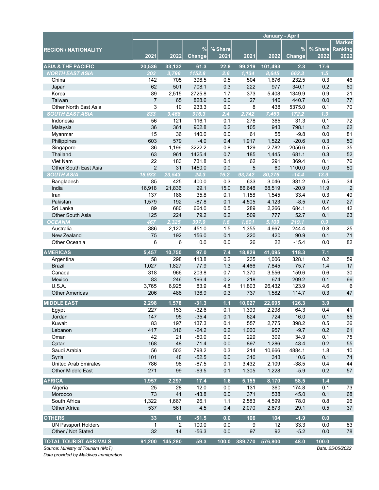|                                   |                |         |               |         |         |         |               |         | <b>Market</b>    |
|-----------------------------------|----------------|---------|---------------|---------|---------|---------|---------------|---------|------------------|
| <b>REGION / NATIONALITY</b>       |                |         | $\frac{9}{6}$ | % Share |         |         | $\%$          | % Share | Ranking          |
|                                   | 2021           | 2022    | Change        | 2021    | 2021    | 2022    | <b>Change</b> | 2022    | 2022             |
| <b>ASIA &amp; THE PACIFIC</b>     | 20,536         | 33,132  | 61.3          | 22.8    | 99,219  | 101,493 | 2.3           | 17.6    |                  |
| <b>NORTH EAST ASIA</b>            | 303            | 3,796   | 1152.8        | 2.6     | 1,134   | 8,645   | 662.3         | 1.5     |                  |
| China                             | 142            | 705     | 396.5         | 0.5     | 504     | 1,676   | 232.5         | 0.3     | 46               |
| Japan                             | 62             | 501     | 708.1         | 0.3     | 222     | 977     | 340.1         | 0.2     | 60               |
| Korea                             | 89             | 2,515   | 2725.8        | 1.7     | 373     | 5,408   | 1349.9        | 0.9     | 21               |
| Taiwan                            | $\overline{7}$ | 65      | 828.6         | 0.0     | 27      | 146     | 440.7         | 0.0     | $77 \,$          |
| Other North East Asia             | 3              | 10      | 233.3         | 0.0     | 8       | 438     | 5375.0        | 0.1     | 70               |
| <b>SOUTH EAST ASIA</b>            | 833            | 3,468   | 316.3         | 2.4     | 2,742   | 7,463   | 172.2         | 1.3     |                  |
| Indonesia                         | 56             | 121     | 116.1         | 0.1     | 278     | 365     | 31.3          | 0.1     | 72               |
| Malaysia                          | 36             | 361     | 902.8         | 0.2     | 105     | 943     | 798.1         | 0.2     | 62               |
| Myanmar                           | 15             | 36      | 140.0         | 0.0     | 61      | 55      | $-9.8$        | 0.0     | 81               |
| Philippines                       | 603            | 579     | $-4.0$        | 0.4     | 1,917   | 1,522   | $-20.6$       | 0.3     | 50               |
| Singapore                         | 36             | 1,196   | 3222.2        | 0.8     | 129     | 2,782   | 2056.6        | 0.5     | 35               |
| Thailand                          | 63             | 961     | 1425.4        | 0.7     | 185     | 1,445   | 681.1         | 0.3     | 52               |
| Viet Nam                          | 22             | 183     | 731.8         | 0.1     | 62      | 291     | 369.4         | 0.1     | 76               |
| <b>Other South East Asia</b>      | $\overline{2}$ | 31      | 1450.0        | 0.0     | 5       | 60      | 1100.0        | 0.0     | 80               |
| <b>SOUTH ASIA</b>                 | 18,933         | 23,543  | 24.3          | 16.2    | 93.742  | 80,276  | $-14.4$       | 13.9    |                  |
| Bangladesh                        | 85             | 425     | 400.0         | 0.3     | 633     | 3,046   | 381.2         | 0.5     | 34               |
| India                             | 16,918         | 21,836  | 29.1          | 15.0    | 86,648  | 68,519  | $-20.9$       | 11.9    | $\sqrt{2}$       |
| Iran                              | 137            | 186     | 35.8          | 0.1     | 1,158   | 1,545   | 33.4          | 0.3     | 49               |
| Pakistan                          | 1,579          | 192     | $-87.8$       | 0.1     | 4,505   | 4,123   | $-8.5$        | 0.7     | 27               |
| Sri Lanka                         | 89             | 680     | 664.0         | 0.5     | 289     | 2,266   | 684.1         | 0.4     | 42               |
| Other South Asia                  | 125            | 224     | 79.2          | 0.2     | 509     | 777     | 52.7          | 0.1     | 63               |
| <b>OCEANIA</b>                    | 467            | 2,325   | 397.9         | 1.6     | 1,601   | 5,109   | 219.1         | 0.9     |                  |
| Australia                         | 386            | 2,127   | 451.0         | 1.5     | 1,355   | 4,667   | 244.4         | 0.8     | 25               |
| New Zealand                       | 75             | 192     | 156.0         | 0.1     | 220     | 420     | 90.9          | 0.1     | 71               |
| Other Oceania                     | 6              | 6       | 0.0           | 0.0     | 26      | 22      | $-15.4$       | 0.0     | 82               |
|                                   |                |         |               |         |         |         |               |         |                  |
| <b>AMERICAS</b>                   | 5,457          | 10,750  | 97.0          | 7.4     | 18,829  | 41,095  | 118.3         | 7.1     |                  |
| Argentina                         | 58             | 298     | 413.8         | 0.2     | 235     | 1,006   | 328.1         | 0.2     | 59               |
| <b>Brazil</b>                     | 1,027          | 1,827   | 77.9          | 1.3     | 4,466   | 7,845   | 75.7          | 1.4     | 17               |
| Canada                            | 318            | 966     | 203.8         | 0.7     | 1,370   | 3,556   | 159.6         | 0.6     | 30               |
| Mexico                            | 83             | 246     | 196.4         | 0.2     | 218     | 674     | 209.2         | 0.1     | 66               |
| U.S.A.                            | 3,765          | 6,925   | 83.9          | 4.8     | 11,803  | 26,432  | 123.9         | 4.6     | 6                |
| <b>Other Americas</b>             | 206            | 488     | 136.9         | 0.3     | 737     | 1,582   | 114.7         | 0.3     | 47               |
| <b>MIDDLE EAST</b>                | 2,298          | 1,578   | $-31.3$       | $1.1$   | 10,027  | 22,695  | 126.3         | 3.9     |                  |
| Egypt                             | 227            | 153     | $-32.6$       | 0.1     | 1,399   | 2,298   | 64.3          | 0.4     | 41               |
| Jordan                            | 147            | 95      | $-35.4$       | 0.1     | 624     | 724     | 16.0          | 0.1     | 65               |
| Kuwait                            | 83             | 197     | 137.3         | 0.1     | 557     | 2,775   | 398.2         | 0.5     | 36               |
| Lebanon                           | 417            | 316     | $-24.2$       | 0.2     | 1,060   | 957     | $-9.7$        | 0.2     | 61               |
| Oman                              | 42             | 21      | $-50.0$       | 0.0     | 229     | 309     | 34.9          | 0.1     | 75               |
| Qatar                             | 168            | 48      | $-71.4$       | 0.0     | 897     | 1,286   | 43.4          | 0.2     | 55               |
| Saudi Arabia                      | 56             | 503     | 798.2         | 0.3     | 214     | 10,666  | 4884.1        | 1.8     | 10               |
| Syria                             | 101            | 48      | $-52.5$       | 0.0     | 310     | 343     | 10.6          | 0.1     | $74\,$           |
| <b>United Arab Emirates</b>       | 786            | 98      | $-87.5$       | 0.1     | 3,432   | 2,109   | $-38.5$       | 0.4     | 44               |
| <b>Other Middle East</b>          | 271            | 99      | $-63.5$       | 0.1     | 1,305   | 1,228   | $-5.9$        | 0.2     | 57               |
| <b>AFRICA</b>                     | 1,957          | 2,297   | 17.4          | 1.6     | 5,155   | 8,170   | 58.5          | $1.4$   |                  |
| Algeria                           | 25             | 28      | 12.0          | 0.0     | 131     | 360     | 174.8         | 0.1     | 73               |
| Morocco                           | 73             | 41      | $-43.8$       | 0.0     | 371     | 538     | 45.0          | 0.1     | 68               |
| South Africa                      | 1,322          | 1,667   | 26.1          | 1.1     | 2,583   | 4,599   | 78.0          | 0.8     | 26               |
| <b>Other Africa</b>               | 537            | 561     | 4.5           | 0.4     | 2,070   | 2,673   | 29.1          | 0.5     | 37               |
|                                   |                |         |               |         |         |         |               |         |                  |
| <b>OTHERS</b>                     | 33             | 16      | $-51.5$       | 0.0     | 106     | 104     | $-1.9$        | 0.0     |                  |
| <b>UN Passport Holders</b>        | 1              | 2       | 100.0         | 0.0     | 9       | 12      | 33.3          | 0.0     | 83               |
| Other / Not Stated                | 32             | 14      | $-56.3$       | 0.0     | 97      | 92      | $-5.2$        | 0.0     | 78               |
| <b>TOTAL TOURIST ARRIVALS</b>     | 91,200         | 145,280 | 59.3          | 100.0   | 389,770 | 576,800 | 48.0          | 100.0   |                  |
| Source: Ministry of Tourism (MoT) |                |         |               |         |         |         |               |         | Date: 25/05/2022 |

Data provided by Maldives Immigration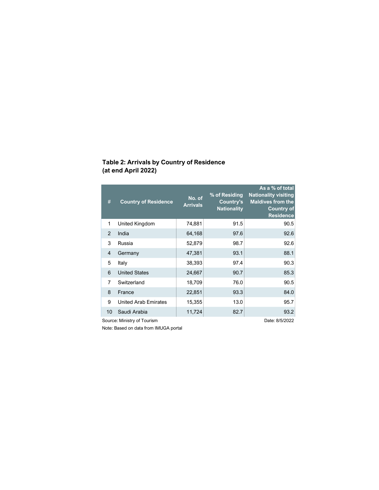# Table 2: Arrivals by Country of Residence (at end April 2022)

| #             | <b>Country of Residence</b> | No. of<br><b>Arrivals</b> | % of Residing<br><b>Country's</b><br><b>Nationality</b> | As a % of total<br><b>Nationality visiting</b><br><b>Maldives from the</b><br><b>Country of</b><br><b>Residence</b> |
|---------------|-----------------------------|---------------------------|---------------------------------------------------------|---------------------------------------------------------------------------------------------------------------------|
| 1             | United Kingdom              | 74,881                    | 91.5                                                    | 90.5                                                                                                                |
| $\mathcal{P}$ | India                       | 64,168                    | 97.6                                                    | 92.6                                                                                                                |
| 3             | Russia                      | 52,879                    | 98.7                                                    | 92.6                                                                                                                |
| 4             | Germany                     | 47,381                    | 93.1                                                    | 88.1                                                                                                                |
| 5             | Italy                       | 38,393                    | 97.4                                                    | 90.3                                                                                                                |
| 6             | <b>United States</b>        | 24,667                    | 90.7                                                    | 85.3                                                                                                                |
| 7             | Switzerland                 | 18,709                    | 76.0                                                    | 90.5                                                                                                                |
| 8             | France                      | 22,851                    | 93.3                                                    | 84.0                                                                                                                |
| 9             | <b>United Arab Emirates</b> | 15,355                    | 13.0                                                    | 95.7                                                                                                                |
| 10            | Saudi Arabia                | 11,724                    | 82.7                                                    | 93.2                                                                                                                |
|               | Source: Ministry of Tourism |                           |                                                         | Date: 8/5/2022                                                                                                      |

Note: Based on data from IMUGA portal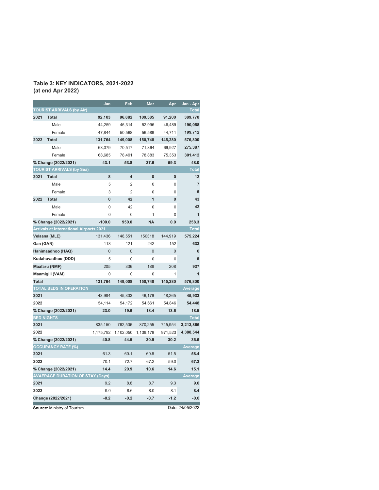## Table 3: KEY INDICATORS, 2021-2022 (at end Apr 2022)

|              |                                                | Jan          | Feb            | Mar            | Apr         | Jan - Apr        |
|--------------|------------------------------------------------|--------------|----------------|----------------|-------------|------------------|
|              | <b>TOURIST ARRIVALS (by Air)</b>               |              |                |                |             | <b>Total</b>     |
| 2021         | <b>Total</b>                                   | 92,103       | 96,882         | 109,585        | 91,200      | 389,770          |
|              | Male                                           | 44,259       | 46,314         | 52,996         | 46,489      | 190,058          |
|              | Female                                         | 47,844       | 50,568         | 56,589         | 44,711      | 199,712          |
| 2022         | <b>Total</b>                                   | 131,764      | 149,008        | 150,748        | 145,280     | 576,800          |
|              | Male                                           | 63,079       | 70,517         | 71,864         | 69,927      | 275,387          |
|              | Female                                         | 68,685       | 78,491         | 78,883         | 75,353      | 301,412          |
|              | % Change (2022/2021)                           | 43.1         | 53.8           | 37.6           | 59.3        | 48.0             |
|              | <b>TOURIST ARRIVALS (by Sea)</b>               |              |                |                |             | <b>Total</b>     |
| 2021         | <b>Total</b>                                   | 8            | 4              | $\bf{0}$       | 0           | 12               |
|              | Male                                           | 5            | 2              | 0              | $\mathbf 0$ | $\overline{7}$   |
|              | Female                                         | 3            | 2              | 0              | 0           | 5                |
| 2022         | <b>Total</b>                                   | $\bf{0}$     | 42             | 1              | $\bf{0}$    | 43               |
|              | Male                                           | 0            | 42             | 0              | 0           | 42               |
|              | Female                                         | 0            | 0              | 1              | 0           | $\overline{1}$   |
|              | % Change (2022/2021)                           | $-100.0$     | 950.0          | <b>NA</b>      | 0.0         | 258.3            |
|              | <b>Arrivals at International Airports 2021</b> |              |                |                |             | <b>Total</b>     |
|              | Velaana (MLE)                                  | 131,436      | 148,551        | 150318         | 144,919     | 575,224          |
| Gan (GAN)    |                                                | 118          | 121            | 242            | 152         | 633              |
|              | Hanimaadhoo (HAQ)                              | $\mathbf{0}$ | $\overline{0}$ | $\overline{0}$ | $\mathbf 0$ | 0                |
|              | Kudahuvadhoo (DDD)                             | 5            | $\mathbf 0$    | $\Omega$       | $\Omega$    | 5                |
|              | Maafaru (NMF)                                  | 205          | 336            | 188            | 208         | 937              |
|              | Maamigili (VAM)                                | 0            | 0              | 0              | 1           | 1                |
| <b>Total</b> |                                                | 131,764      | 149,008        | 150,748        | 145,280     | 576,800          |
|              | <b>TOTAL BEDS IN OPERATION</b>                 |              |                |                |             | Average          |
| 2021         |                                                | 43,984       | 45,303         | 46,179         | 48,265      | 45,933           |
| 2022         |                                                | 54,114       | 54,172         | 54,661         | 54,846      | 54,448           |
|              | % Change (2022/2021)                           | 23.0         | 19.6           | 18.4           | 13.6        | 18.5             |
|              | <b>BED NIGHTS</b>                              |              |                |                |             | <b>Total</b>     |
| 2021         |                                                | 835,150      | 762,506        | 870,255        | 745,954     | 3,213,866        |
| 2022         |                                                | 1,175,792    | 1,102,050      | 1,139,179      | 971,523     | 4,388,544        |
|              | % Change (2022/2021)                           | 40.8         | 44.5           | 30.9           | 30.2        | 36.6             |
|              | <b>OCCUPANCY RATE (%)</b>                      |              |                |                |             | Average          |
| 2021         |                                                | 61.3         | 60.1           | 60.8           | 51.5        | 58.4             |
| 2022         |                                                | 70.1         | 72.7           | 67.2           | 59.0        | 67.3             |
|              | % Change (2022/2021)                           | 14.4         | 20.9           | 10.6           | 14.6        | 15.1             |
|              | <b>AVAERAGE DURATION OF STAY (Days)</b>        |              |                |                |             | Average          |
| 2021         |                                                | 9.2          | 8.8            | 8.7            | 9.3         | 9.0              |
| 2022         |                                                | 9.0          | 8.6            | 8.0            | 8.1         | 8.4              |
|              | Change (2022/2021)                             | $-0.2$       | $-0.2$         | $-0.7$         | $-1.2$      | $-0.6$           |
|              | Source: Ministry of Tourism                    |              |                |                |             | Date: 24/05/2022 |